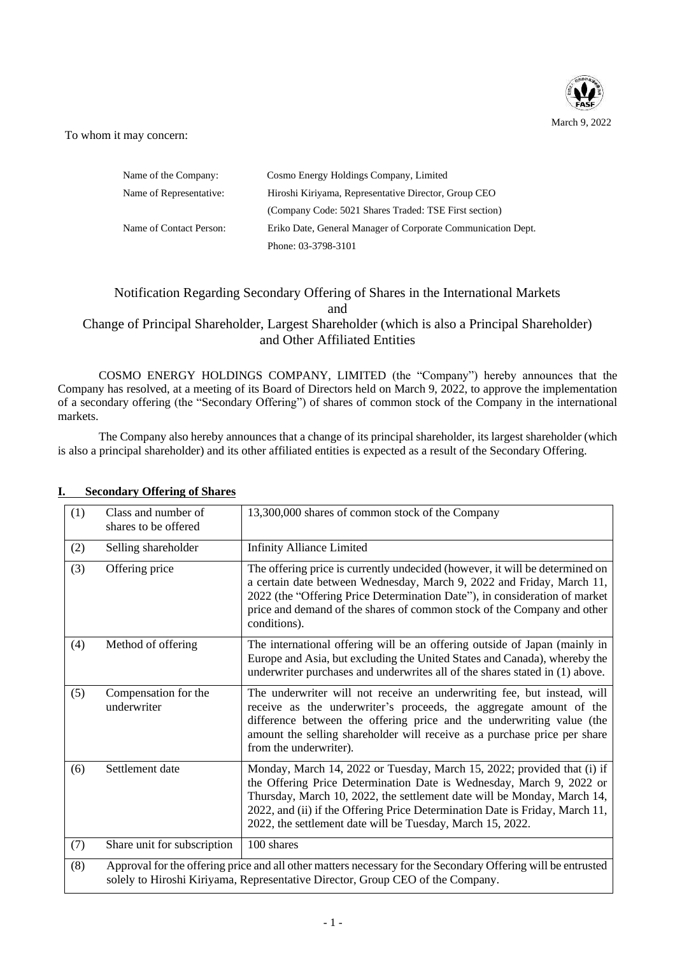

To whom it may concern:

| Name of the Company:    | Cosmo Energy Holdings Company, Limited                       |
|-------------------------|--------------------------------------------------------------|
| Name of Representative: | Hiroshi Kiriyama, Representative Director, Group CEO         |
|                         | (Company Code: 5021 Shares Traded: TSE First section)        |
| Name of Contact Person: | Eriko Date, General Manager of Corporate Communication Dept. |
|                         | Phone: 03-3798-3101                                          |

# Notification Regarding Secondary Offering of Shares in the International Markets and

# Change of Principal Shareholder, Largest Shareholder (which is also a Principal Shareholder) and Other Affiliated Entities

COSMO ENERGY HOLDINGS COMPANY, LIMITED (the "Company") hereby announces that the Company has resolved, at a meeting of its Board of Directors held on March 9, 2022, to approve the implementation of a secondary offering (the "Secondary Offering") of shares of common stock of the Company in the international markets.

The Company also hereby announces that a change of its principal shareholder, its largest shareholder (which is also a principal shareholder) and its other affiliated entities is expected as a result of the Secondary Offering.

| (1) | Class and number of<br>shares to be offered | 13,300,000 shares of common stock of the Company                                                                                                                                                                                                                                                                                                                         |
|-----|---------------------------------------------|--------------------------------------------------------------------------------------------------------------------------------------------------------------------------------------------------------------------------------------------------------------------------------------------------------------------------------------------------------------------------|
| (2) | Selling shareholder                         | <b>Infinity Alliance Limited</b>                                                                                                                                                                                                                                                                                                                                         |
| (3) | Offering price                              | The offering price is currently undecided (however, it will be determined on<br>a certain date between Wednesday, March 9, 2022 and Friday, March 11,<br>2022 (the "Offering Price Determination Date"), in consideration of market<br>price and demand of the shares of common stock of the Company and other<br>conditions).                                           |
| (4) | Method of offering                          | The international offering will be an offering outside of Japan (mainly in<br>Europe and Asia, but excluding the United States and Canada), whereby the<br>underwriter purchases and underwrites all of the shares stated in (1) above.                                                                                                                                  |
| (5) | Compensation for the<br>underwriter         | The underwriter will not receive an underwriting fee, but instead, will<br>receive as the underwriter's proceeds, the aggregate amount of the<br>difference between the offering price and the underwriting value (the<br>amount the selling shareholder will receive as a purchase price per share<br>from the underwriter).                                            |
| (6) | Settlement date                             | Monday, March 14, 2022 or Tuesday, March 15, 2022; provided that (i) if<br>the Offering Price Determination Date is Wednesday, March 9, 2022 or<br>Thursday, March 10, 2022, the settlement date will be Monday, March 14,<br>2022, and (ii) if the Offering Price Determination Date is Friday, March 11,<br>2022, the settlement date will be Tuesday, March 15, 2022. |
| (7) | Share unit for subscription                 | 100 shares                                                                                                                                                                                                                                                                                                                                                               |
| (8) |                                             | Approval for the offering price and all other matters necessary for the Secondary Offering will be entrusted<br>solely to Hiroshi Kiriyama, Representative Director, Group CEO of the Company.                                                                                                                                                                           |

## **I. Secondary Offering of Shares**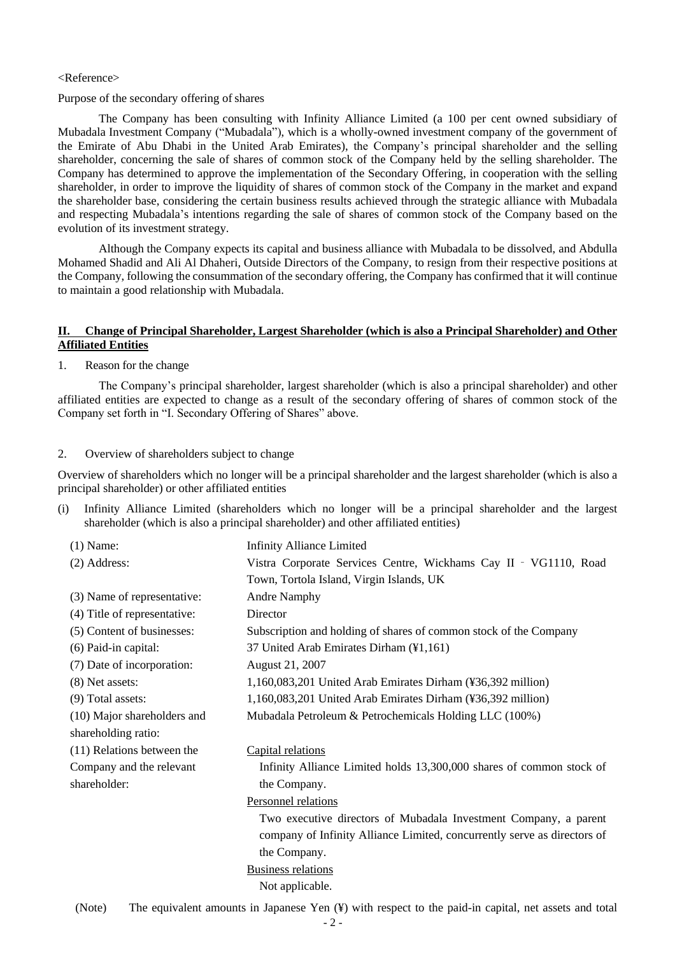#### <Reference>

#### Purpose of the secondary offering of shares

The Company has been consulting with Infinity Alliance Limited (a 100 per cent owned subsidiary of Mubadala Investment Company ("Mubadala"), which is a wholly-owned investment company of the government of the Emirate of Abu Dhabi in the United Arab Emirates), the Company's principal shareholder and the selling shareholder, concerning the sale of shares of common stock of the Company held by the selling shareholder. The Company has determined to approve the implementation of the Secondary Offering, in cooperation with the selling shareholder, in order to improve the liquidity of shares of common stock of the Company in the market and expand the shareholder base, considering the certain business results achieved through the strategic alliance with Mubadala and respecting Mubadala's intentions regarding the sale of shares of common stock of the Company based on the evolution of its investment strategy.

Although the Company expects its capital and business alliance with Mubadala to be dissolved, and Abdulla Mohamed Shadid and Ali Al Dhaheri, Outside Directors of the Company, to resign from their respective positions at the Company, following the consummation of the secondary offering, the Company has confirmed that it will continue to maintain a good relationship with Mubadala.

## **II. Change of Principal Shareholder, Largest Shareholder (which is also a Principal Shareholder) and Other Affiliated Entities**

#### 1. Reason for the change

The Company's principal shareholder, largest shareholder (which is also a principal shareholder) and other affiliated entities are expected to change as a result of the secondary offering of shares of common stock of the Company set forth in "I. Secondary Offering of Shares" above.

#### 2. Overview of shareholders subject to change

Overview of shareholders which no longer will be a principal shareholder and the largest shareholder (which is also a principal shareholder) or other affiliated entities

(i) Infinity Alliance Limited (shareholders which no longer will be a principal shareholder and the largest shareholder (which is also a principal shareholder) and other affiliated entities)

| $(1)$ Name:                  | <b>Infinity Alliance Limited</b>                                         |
|------------------------------|--------------------------------------------------------------------------|
| (2) Address:                 | Vistra Corporate Services Centre, Wickhams Cay II - VG1110, Road         |
|                              | Town, Tortola Island, Virgin Islands, UK                                 |
| (3) Name of representative:  | <b>Andre Namphy</b>                                                      |
| (4) Title of representative: | Director                                                                 |
| (5) Content of businesses:   | Subscription and holding of shares of common stock of the Company        |
| (6) Paid-in capital:         | 37 United Arab Emirates Dirham (¥1,161)                                  |
| (7) Date of incorporation:   | August 21, 2007                                                          |
| (8) Net assets:              | 1,160,083,201 United Arab Emirates Dirham (¥36,392 million)              |
| (9) Total assets:            | 1,160,083,201 United Arab Emirates Dirham (¥36,392 million)              |
| (10) Major shareholders and  | Mubadala Petroleum & Petrochemicals Holding LLC (100%)                   |
| shareholding ratio:          |                                                                          |
| (11) Relations between the   | Capital relations                                                        |
| Company and the relevant     | Infinity Alliance Limited holds 13,300,000 shares of common stock of     |
| shareholder:                 | the Company.                                                             |
|                              | Personnel relations                                                      |
|                              | Two executive directors of Mubadala Investment Company, a parent         |
|                              | company of Infinity Alliance Limited, concurrently serve as directors of |
|                              | the Company.                                                             |
|                              | <b>Business relations</b>                                                |
|                              | Not applicable.                                                          |
|                              |                                                                          |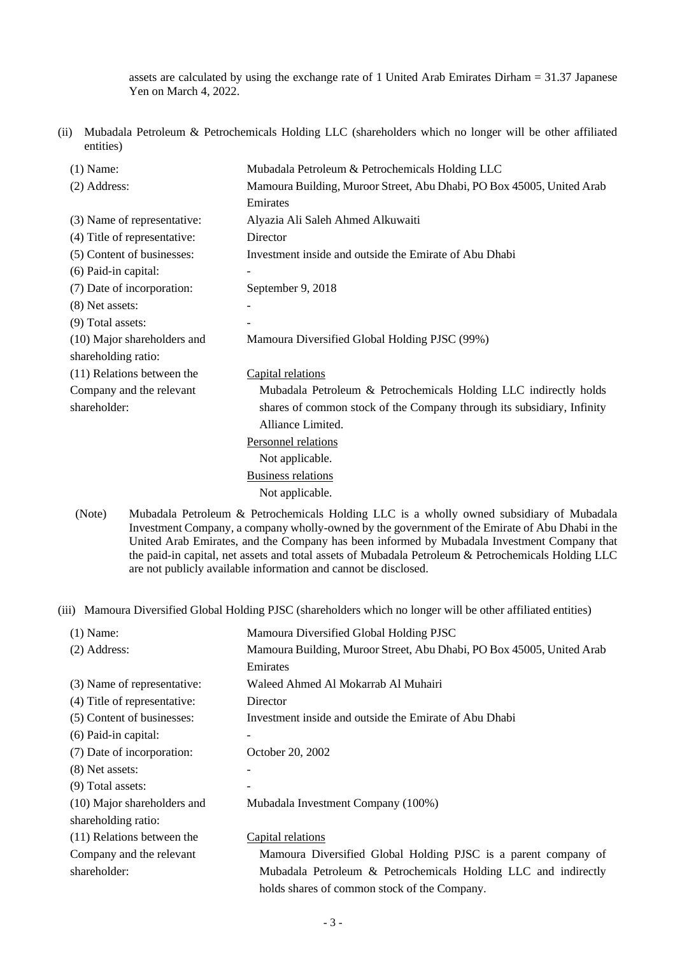assets are calculated by using the exchange rate of 1 United Arab Emirates Dirham = 31.37 Japanese Yen on March 4, 2022.

(ii) Mubadala Petroleum & Petrochemicals Holding LLC (shareholders which no longer will be other affiliated entities)

| $(1)$ Name:                  | Mubadala Petroleum & Petrochemicals Holding LLC                                         |  |  |  |
|------------------------------|-----------------------------------------------------------------------------------------|--|--|--|
| (2) Address:                 | Mamoura Building, Muroor Street, Abu Dhabi, PO Box 45005, United Arab                   |  |  |  |
|                              | Emirates                                                                                |  |  |  |
| (3) Name of representative:  | Alyazia Ali Saleh Ahmed Alkuwaiti                                                       |  |  |  |
| (4) Title of representative: | Director                                                                                |  |  |  |
| (5) Content of businesses:   | Investment inside and outside the Emirate of Abu Dhabi                                  |  |  |  |
| (6) Paid-in capital:         |                                                                                         |  |  |  |
| (7) Date of incorporation:   | September 9, 2018                                                                       |  |  |  |
| (8) Net assets:              |                                                                                         |  |  |  |
| (9) Total assets:            |                                                                                         |  |  |  |
| (10) Major shareholders and  | Mamoura Diversified Global Holding PJSC (99%)                                           |  |  |  |
| shareholding ratio:          |                                                                                         |  |  |  |
| (11) Relations between the   | Capital relations                                                                       |  |  |  |
| Company and the relevant     | Mubadala Petroleum & Petrochemicals Holding LLC indirectly holds                        |  |  |  |
| shareholder:                 | shares of common stock of the Company through its subsidiary, Infinity                  |  |  |  |
|                              | Alliance Limited.                                                                       |  |  |  |
|                              | Personnel relations                                                                     |  |  |  |
|                              | Not applicable.                                                                         |  |  |  |
|                              | <b>Business relations</b>                                                               |  |  |  |
|                              | Not applicable.                                                                         |  |  |  |
| (Note)                       | Muhadala Petroleum & Petrochemicals Holding IIC is a wholly owned subsidiary of Muhadal |  |  |  |

(Note) Mubadala Petroleum & Petrochemicals Holding LLC is a wholly owned subsidiary of Mubadala Investment Company, a company wholly-owned by the government of the Emirate of Abu Dhabi in the United Arab Emirates, and the Company has been informed by Mubadala Investment Company that the paid-in capital, net assets and total assets of Mubadala Petroleum & Petrochemicals Holding LLC are not publicly available information and cannot be disclosed.

(iii) Mamoura Diversified Global Holding PJSC (shareholders which no longer will be other affiliated entities)

| $(1)$ Name:                  | Mamoura Diversified Global Holding PJSC                               |
|------------------------------|-----------------------------------------------------------------------|
| $(2)$ Address:               | Mamoura Building, Muroor Street, Abu Dhabi, PO Box 45005, United Arab |
|                              | Emirates                                                              |
| (3) Name of representative:  | Waleed Ahmed Al Mokarrab Al Muhairi                                   |
| (4) Title of representative: | Director                                                              |
| (5) Content of businesses:   | Investment inside and outside the Emirate of Abu Dhabi                |
| $(6)$ Paid-in capital:       |                                                                       |
| (7) Date of incorporation:   | October 20, 2002                                                      |
| (8) Net assets:              |                                                                       |
| $(9)$ Total assets:          |                                                                       |
| (10) Major shareholders and  | Mubadala Investment Company (100%)                                    |
| shareholding ratio:          |                                                                       |
| (11) Relations between the   | Capital relations                                                     |
| Company and the relevant     | Mamoura Diversified Global Holding PJSC is a parent company of        |
| shareholder:                 | Mubadala Petroleum & Petrochemicals Holding LLC and indirectly        |

holds shares of common stock of the Company.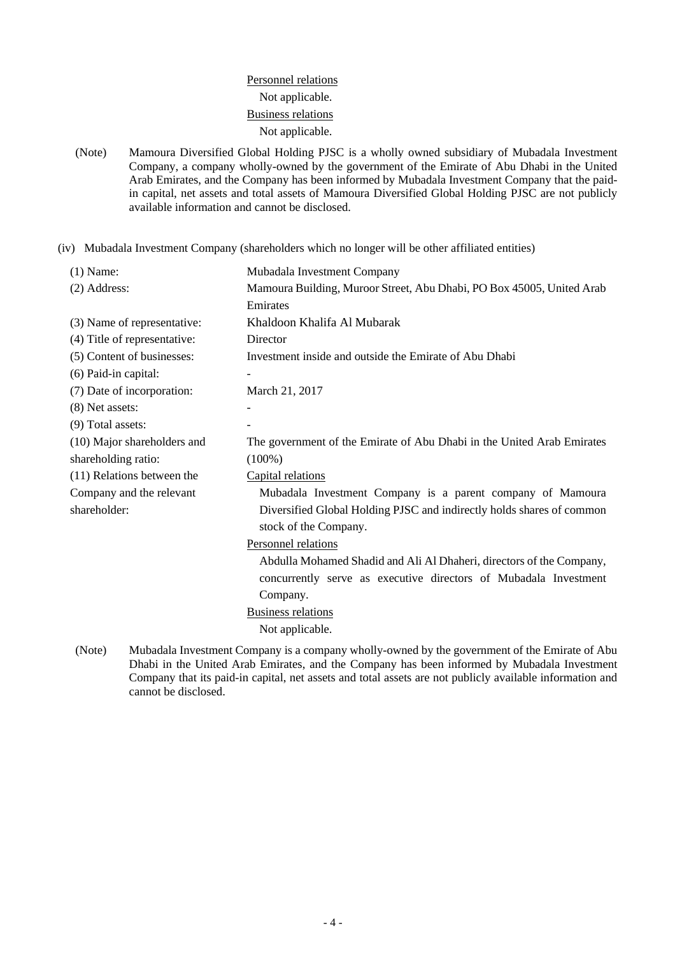# Personnel relations Not applicable. Business relations Not applicable.

(Note) Mamoura Diversified Global Holding PJSC is a wholly owned subsidiary of Mubadala Investment Company, a company wholly-owned by the government of the Emirate of Abu Dhabi in the United Arab Emirates, and the Company has been informed by Mubadala Investment Company that the paidin capital, net assets and total assets of Mamoura Diversified Global Holding PJSC are not publicly available information and cannot be disclosed.

(iv) Mubadala Investment Company (shareholders which no longer will be other affiliated entities)

| $(1)$ Name:                  | Mubadala Investment Company                                                                            |  |  |
|------------------------------|--------------------------------------------------------------------------------------------------------|--|--|
| (2) Address:                 | Mamoura Building, Muroor Street, Abu Dhabi, PO Box 45005, United Arab                                  |  |  |
|                              | Emirates                                                                                               |  |  |
| (3) Name of representative:  | Khaldoon Khalifa Al Mubarak                                                                            |  |  |
| (4) Title of representative: | Director                                                                                               |  |  |
| (5) Content of businesses:   | Investment inside and outside the Emirate of Abu Dhabi                                                 |  |  |
| (6) Paid-in capital:         |                                                                                                        |  |  |
| (7) Date of incorporation:   | March 21, 2017                                                                                         |  |  |
| (8) Net assets:              |                                                                                                        |  |  |
| (9) Total assets:            |                                                                                                        |  |  |
| (10) Major shareholders and  | The government of the Emirate of Abu Dhabi in the United Arab Emirates                                 |  |  |
| shareholding ratio:          | $(100\%)$                                                                                              |  |  |
| (11) Relations between the   | Capital relations                                                                                      |  |  |
| Company and the relevant     | Mubadala Investment Company is a parent company of Mamoura                                             |  |  |
| shareholder:                 | Diversified Global Holding PJSC and indirectly holds shares of common                                  |  |  |
|                              | stock of the Company.                                                                                  |  |  |
|                              | Personnel relations                                                                                    |  |  |
|                              | Abdulla Mohamed Shadid and Ali Al Dhaheri, directors of the Company,                                   |  |  |
|                              | concurrently serve as executive directors of Mubadala Investment                                       |  |  |
|                              | Company.                                                                                               |  |  |
|                              | <b>Business relations</b>                                                                              |  |  |
|                              | Not applicable.                                                                                        |  |  |
| <b>BEITT</b>                 | $\sim$ $\sim$<br>$\mathcal{L}$ and $\mathcal{L}$ and $\mathcal{L}$ and $\mathcal{L}$ and $\mathcal{L}$ |  |  |

(Note) Mubadala Investment Company is a company wholly-owned by the government of the Emirate of Abu Dhabi in the United Arab Emirates, and the Company has been informed by Mubadala Investment Company that its paid-in capital, net assets and total assets are not publicly available information and cannot be disclosed.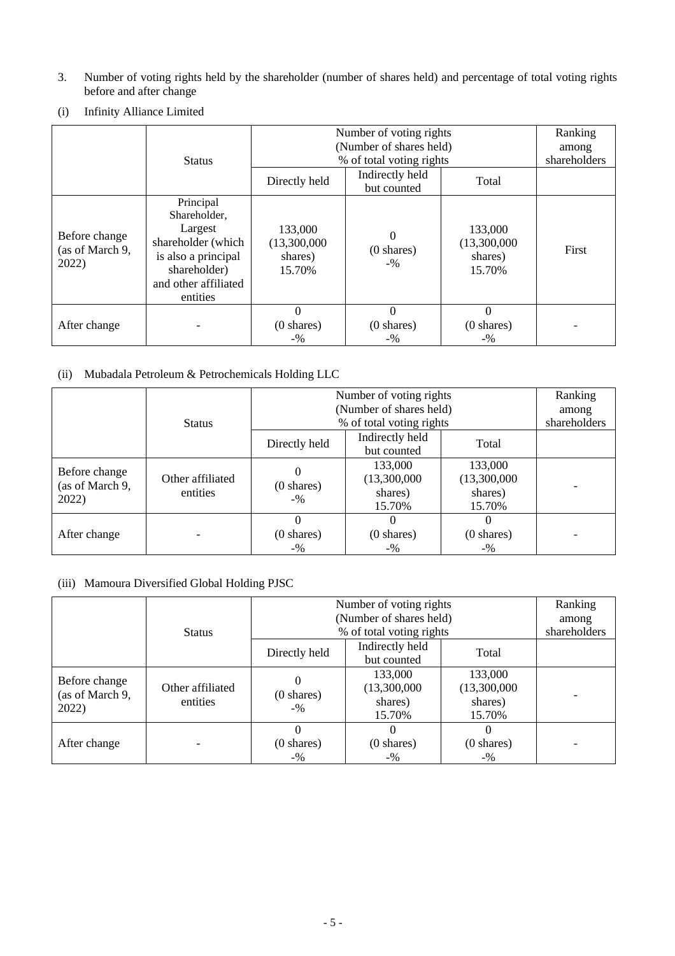3. Number of voting rights held by the shareholder (number of shares held) and percentage of total voting rights before and after change

|                                           |                                                                                                                                       | Number of voting rights                      |                                            |                                              | Ranking |
|-------------------------------------------|---------------------------------------------------------------------------------------------------------------------------------------|----------------------------------------------|--------------------------------------------|----------------------------------------------|---------|
|                                           |                                                                                                                                       | (Number of shares held)                      | among                                      |                                              |         |
|                                           | <b>Status</b>                                                                                                                         |                                              | % of total voting rights                   |                                              |         |
|                                           |                                                                                                                                       | Directly held                                | Indirectly held<br>but counted             | Total                                        |         |
| Before change<br>(as of March 9,<br>2022) | Principal<br>Shareholder,<br>Largest<br>shareholder (which<br>is also a principal<br>shareholder)<br>and other affiliated<br>entities | 133,000<br>(13,300,000)<br>shares)<br>15.70% | $\Omega$<br>$(0 \text{ shares})$<br>$-9/0$ | 133,000<br>(13,300,000)<br>shares)<br>15.70% | First   |
| After change                              |                                                                                                                                       | $\theta$<br>$(0 \text{ shares})$<br>$-9/0$   | 0<br>$(0 \text{ shares})$<br>$-9/0$        | $\Omega$<br>$(0 \text{ shares})$<br>$-9/0$   |         |

(i) Infinity Alliance Limited

# (ii) Mubadala Petroleum & Petrochemicals Holding LLC

|                          |                              | Number of voting rights<br>(Number of shares held) |                                |                      | Ranking      |
|--------------------------|------------------------------|----------------------------------------------------|--------------------------------|----------------------|--------------|
|                          |                              |                                                    | among                          |                      |              |
|                          | <b>Status</b>                | % of total voting rights                           |                                |                      | shareholders |
|                          |                              | Directly held                                      | Indirectly held<br>but counted | Total                |              |
|                          |                              |                                                    |                                |                      |              |
| Before change            |                              | 0                                                  | 133,000                        | 133,000              |              |
| (as of March 9,<br>2022) | Other affiliated<br>entities | $(0 \text{ shares})$<br>$-9/6$                     | (13,300,000)                   | (13,300,000)         |              |
|                          |                              |                                                    | shares)                        | shares)              |              |
|                          |                              |                                                    | 15.70%                         | 15.70%               |              |
|                          |                              | $\Omega$                                           |                                |                      |              |
| After change             |                              | $(0 \text{ shares})$                               | $(0 \text{ shares})$           | $(0 \text{ shares})$ |              |
|                          |                              | $-9/0$                                             | $-9/0$                         | $-9/0$               |              |

## (iii) Mamoura Diversified Global Holding PJSC

|                                           |                              | Number of voting rights             |                                              |                                              | Ranking |
|-------------------------------------------|------------------------------|-------------------------------------|----------------------------------------------|----------------------------------------------|---------|
|                                           |                              | (Number of shares held)             |                                              |                                              | among   |
|                                           | <b>Status</b>                |                                     | % of total voting rights                     |                                              |         |
|                                           |                              | Directly held                       | Indirectly held<br>but counted               | Total                                        |         |
| Before change<br>(as of March 9,<br>2022) | Other affiliated<br>entities | 0<br>$(0 \text{ shares})$<br>$-9/6$ | 133,000<br>(13,300,000)<br>shares)<br>15.70% | 133,000<br>(13,300,000)<br>shares)<br>15.70% |         |
| After change                              |                              | 0<br>$(0 \text{ shares})$<br>$-9/0$ | $(0 \text{ shares})$<br>$-9/0$               | $(0 \text{ shares})$<br>$-9/0$               |         |